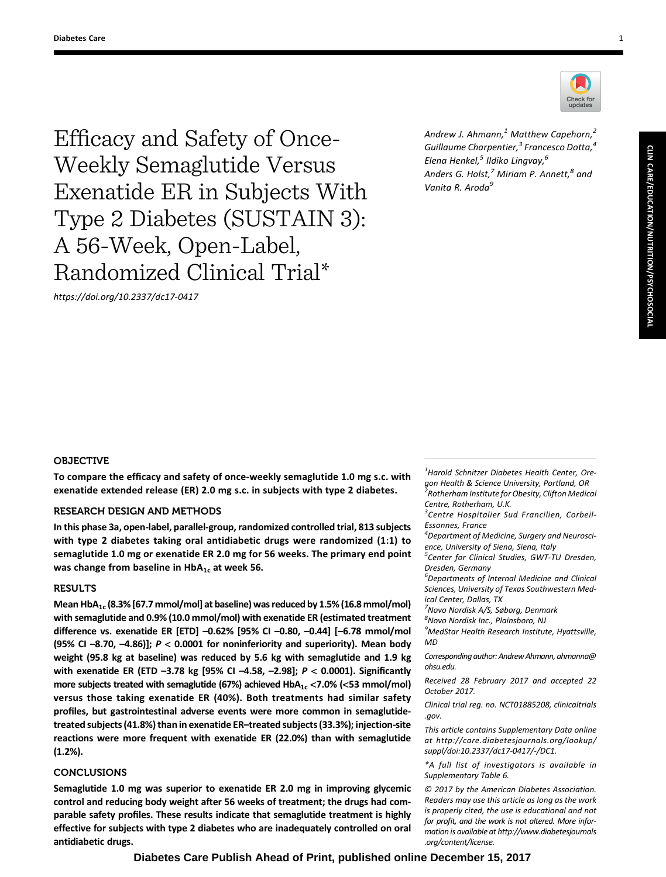Efficacy and Safety of Once-Weekly Semaglutide Versus Exenatide ER in Subjects With Type 2 Diabetes (SUSTAIN 3): A 56-Week, Open-Label, Randomized Clinical Trial\*

<https://doi.org/10.2337/dc17-0417>



Andrew J. Ahmann, $<sup>1</sup>$  Matthew Capehorn, $<sup>2</sup>$ </sup></sup> Guillaume Charpentier,<sup>3</sup> Francesco Dotta,<sup>4</sup> Elena Henkel, $^5$  Ildiko Lingvay, $^6$ Anders G. Holst, $^7$  Miriam P. Annett, $^8$  and Vanita R. Aroda<sup>9</sup>

# **OBJECTIVE**

To compare the efficacy and safety of once-weekly semaglutide 1.0 mg s.c. with exenatide extended release (ER) 2.0 mg s.c. in subjects with type 2 diabetes.

# RESEARCH DESIGN AND METHODS

In this phase 3a, open-label, parallel-group, randomized controlled trial, 813 subjects with type 2 diabetes taking oral antidiabetic drugs were randomized (1:1) to semaglutide 1.0 mg or exenatide ER 2.0 mg for 56 weeks. The primary end point was change from baseline in  $HbA_{1c}$  at week 56.

### RESULTS

Mean HbA<sub>1c</sub> (8.3% [67.7 mmol/mol] at baseline) was reduced by 1.5% (16.8 mmol/mol) with semaglutide and 0.9% (10.0 mmol/mol) with exenatide ER (estimated treatment difference vs. exenatide ER [ETD] –0.62% [95% CI –0.80, –0.44] [–6.78 mmol/mol (95% CI  $-8.70$ ,  $-4.86$ )];  $P < 0.0001$  for noninferiority and superiority). Mean body weight (95.8 kg at baseline) was reduced by 5.6 kg with semaglutide and 1.9 kg with exenatide ER (ETD –3.78 kg [95% CI –4.58, –2.98]; P < 0.0001). Significantly more subjects treated with semaglutide (67%) achieved  $HbA_{1c}$  <7.0% (<53 mmol/mol) versus those taking exenatide ER (40%). Both treatments had similar safety profiles, but gastrointestinal adverse events were more common in semaglutidetreated subjects (41.8%) than in exenatide ER–treated subjects (33.3%); injection-site reactions were more frequent with exenatide ER (22.0%) than with semaglutide (1.2%).

## **CONCLUSIONS**

Semaglutide 1.0 mg was superior to exenatide ER 2.0 mg in improving glycemic control and reducing body weight after 56 weeks of treatment; the drugs had comparable safety profiles. These results indicate that semaglutide treatment is highly effective for subjects with type 2 diabetes who are inadequately controlled on oral antidiabetic drugs.

 $<sup>1</sup>$ Harold Schnitzer Diabetes Health Center, Ore-</sup> gon Health & Science University, Portland, OR<br><sup>2</sup>Rotherham Institute for Obesity, Clifton Medical Centre, Rotherham, U.K.

<sup>3</sup>Centre Hospitalier Sud Francilien, Corbeil-Essonnes, France

4 Department of Medicine, Surgery and Neuroscience, University of Siena, Siena, Italy

<sup>5</sup> Center for Clinical Studies, GWT-TU Dresden, Dresden, Germany

6 Departments of Internal Medicine and Clinical Sciences, University of Texas Southwestern Medical Center, Dallas, TX

<sup>7</sup>Novo Nordisk A/S, Søborg, Denmark

8 Novo Nordisk Inc., Plainsboro, NJ

<sup>9</sup>MedStar Health Research Institute, Hyattsville, MD

Corresponding author: Andrew Ahmann, [ahmanna@](mailto:ahmanna@ohsu.edu) [ohsu.edu](mailto:ahmanna@ohsu.edu).

Received 28 February 2017 and accepted 22 October 2017.

Clinical trial reg. no. NCT01885208, clinicaltrials .gov.

This article contains Supplementary Data online at [http://care.diabetesjournals.org/lookup/](http://care.diabetesjournals.org/lookup/suppl/doi:10.2337/dc17-0417/-/DC1) [suppl/doi:10.2337/dc17-0417/-/DC1.](http://care.diabetesjournals.org/lookup/suppl/doi:10.2337/dc17-0417/-/DC1)

\*A full list of investigators is available in [Supplementary Table 6](http://care.diabetesjournals.org/lookup/suppl/doi:10.2337/dc17-0417/-/DC1).

© 2017 by the American Diabetes Association. Readers may use this article as long as the work is properly cited, the use is educational and not for profit, and the work is not altered. More information is available at [http://www.diabetesjournals](http://www.diabetesjournals.org/content/license) [.org/content/license](http://www.diabetesjournals.org/content/license).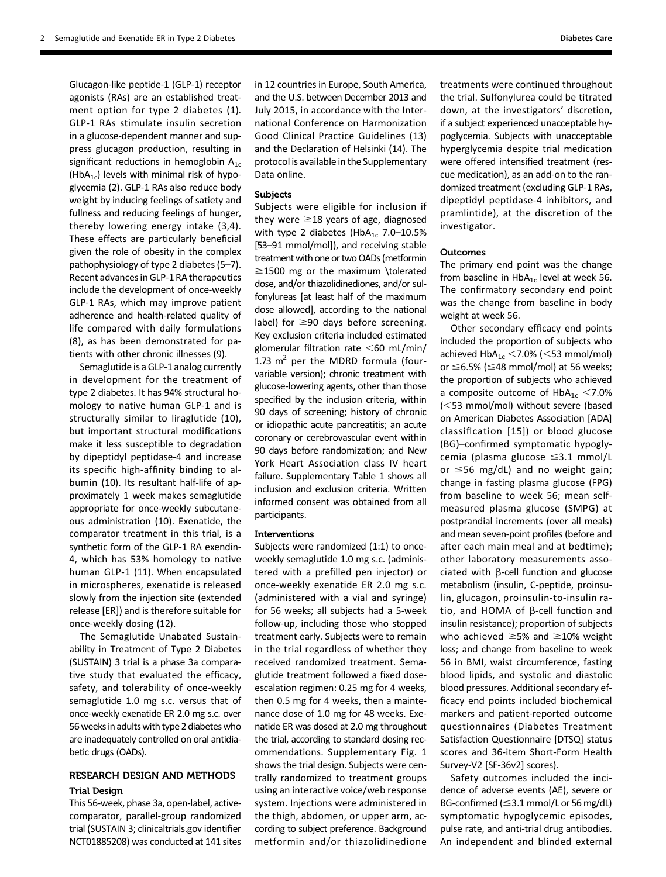Glucagon-like peptide-1 (GLP-1) receptor agonists (RAs) are an established treatment option for type 2 diabetes (1). GLP-1 RAs stimulate insulin secretion in a glucose-dependent manner and suppress glucagon production, resulting in significant reductions in hemoglobin  $A_{1c}$ (HbA<sub>1c</sub>) levels with minimal risk of hypoglycemia (2). GLP-1 RAs also reduce body weight by inducing feelings of satiety and fullness and reducing feelings of hunger, thereby lowering energy intake (3,4). These effects are particularly beneficial given the role of obesity in the complex pathophysiology of type 2 diabetes (5–7). Recent advances in GLP-1 RA therapeutics include the development of once-weekly GLP-1 RAs, which may improve patient adherence and health-related quality of life compared with daily formulations (8), as has been demonstrated for patients with other chronic illnesses (9).

Semaglutide is a GLP-1 analog currently in development for the treatment of type 2 diabetes. It has 94% structural homology to native human GLP-1 and is structurally similar to liraglutide (10), but important structural modifications make it less susceptible to degradation by dipeptidyl peptidase-4 and increase its specific high-affinity binding to albumin (10). Its resultant half-life of approximately 1 week makes semaglutide appropriate for once-weekly subcutaneous administration (10). Exenatide, the comparator treatment in this trial, is a synthetic form of the GLP-1 RA exendin-4, which has 53% homology to native human GLP-1 (11). When encapsulated in microspheres, exenatide is released slowly from the injection site (extended release [ER]) and is therefore suitable for once-weekly dosing (12).

The Semaglutide Unabated Sustainability in Treatment of Type 2 Diabetes (SUSTAIN) 3 trial is a phase 3a comparative study that evaluated the efficacy, safety, and tolerability of once-weekly semaglutide 1.0 mg s.c. versus that of once-weekly exenatide ER 2.0 mg s.c. over 56 weeks in adults with type 2 diabetes who are inadequately controlled on oral antidiabetic drugs (OADs).

# RESEARCH DESIGN AND METHODS

### Trial Design

This 56-week, phase 3a, open-label, activecomparator, parallel-group randomized trial (SUSTAIN 3; clinicaltrials.gov identifier NCT01885208) was conducted at 141 sites

in 12 countries in Europe, South America, and the U.S. between December 2013 and July 2015, in accordance with the International Conference on Harmonization Good Clinical Practice Guidelines (13) and the Declaration of Helsinki (14). The protocol is available in the Supplementary Data online.

### Subjects

Subjects were eligible for inclusion if they were  $\geq$ 18 years of age, diagnosed with type 2 diabetes (Hb $A_{1c}$  7.0–10.5% [53–91 mmol/mol]), and receiving stable treatment with one or two OADs (metformin  $\ge$ 1500 mg or the maximum \tolerated dose, and/or thiazolidinediones, and/or sulfonylureas [at least half of the maximum dose allowed], according to the national label) for  $\geq$ 90 days before screening. Key exclusion criteria included estimated glomerular filtration rate  $<$  60 mL/min/ 1.73  $m^2$  per the MDRD formula (fourvariable version); chronic treatment with glucose-lowering agents, other than those specified by the inclusion criteria, within 90 days of screening; history of chronic or idiopathic acute pancreatitis; an acute coronary or cerebrovascular event within 90 days before randomization; and New York Heart Association class IV heart failure. [Supplementary Table 1](http://care.diabetesjournals.org/lookup/suppl/doi:10.2337/dc17-0417/-/DC1) shows all inclusion and exclusion criteria. Written informed consent was obtained from all participants.

#### Interventions

Subjects were randomized (1:1) to onceweekly semaglutide 1.0 mg s.c. (administered with a prefilled pen injector) or once-weekly exenatide ER 2.0 mg s.c. (administered with a vial and syringe) for 56 weeks; all subjects had a 5-week follow-up, including those who stopped treatment early. Subjects were to remain in the trial regardless of whether they received randomized treatment. Semaglutide treatment followed a fixed doseescalation regimen: 0.25 mg for 4 weeks, then 0.5 mg for 4 weeks, then a maintenance dose of 1.0 mg for 48 weeks. Exenatide ER was dosed at 2.0 mg throughout the trial, according to standard dosing recommendations. [Supplementary Fig. 1](http://care.diabetesjournals.org/lookup/suppl/doi:10.2337/dc17-0417/-/DC1) shows the trial design. Subjects were centrally randomized to treatment groups using an interactive voice/web response system. Injections were administered in the thigh, abdomen, or upper arm, according to subject preference. Background metformin and/or thiazolidinedione treatments were continued throughout the trial. Sulfonylurea could be titrated down, at the investigators' discretion, if a subject experienced unacceptable hypoglycemia. Subjects with unacceptable hyperglycemia despite trial medication were offered intensified treatment (rescue medication), as an add-on to the randomized treatment (excluding GLP-1 RAs, dipeptidyl peptidase-4 inhibitors, and pramlintide), at the discretion of the investigator.

### Outcomes

The primary end point was the change from baseline in  $HbA_{1c}$  level at week 56. The confirmatory secondary end point was the change from baseline in body weight at week 56.

Other secondary efficacy end points included the proportion of subjects who achieved  $HbA_{1c}$  < 7.0% (< 53 mmol/mol) or  $\leq$ 6.5% ( $\leq$ 48 mmol/mol) at 56 weeks; the proportion of subjects who achieved a composite outcome of  $HbA_{1c} < 7.0\%$  $(<$ 53 mmol/mol) without severe (based on American Diabetes Association [ADA] classification [15]) or blood glucose (BG)–confirmed symptomatic hypoglycemia (plasma glucose  $\leq$ 3.1 mmol/L or  $\leq$ 56 mg/dL) and no weight gain; change in fasting plasma glucose (FPG) from baseline to week 56; mean selfmeasured plasma glucose (SMPG) at postprandial increments (over all meals) and mean seven-point profiles (before and after each main meal and at bedtime); other laboratory measurements associated with  $\beta$ -cell function and glucose metabolism (insulin, C-peptide, proinsulin, glucagon, proinsulin-to-insulin ratio, and HOMA of  $\beta$ -cell function and insulin resistance); proportion of subjects who achieved  $\geq$ 5% and  $\geq$ 10% weight loss; and change from baseline to week 56 in BMI, waist circumference, fasting blood lipids, and systolic and diastolic blood pressures. Additional secondary efficacy end points included biochemical markers and patient-reported outcome questionnaires (Diabetes Treatment Satisfaction Questionnaire [DTSQ] status scores and 36-item Short-Form Health Survey-V2 [SF-36v2] scores).

Safety outcomes included the incidence of adverse events (AE), severe or BG-confirmed ( $\leq$ 3.1 mmol/L or 56 mg/dL) symptomatic hypoglycemic episodes, pulse rate, and anti-trial drug antibodies. An independent and blinded external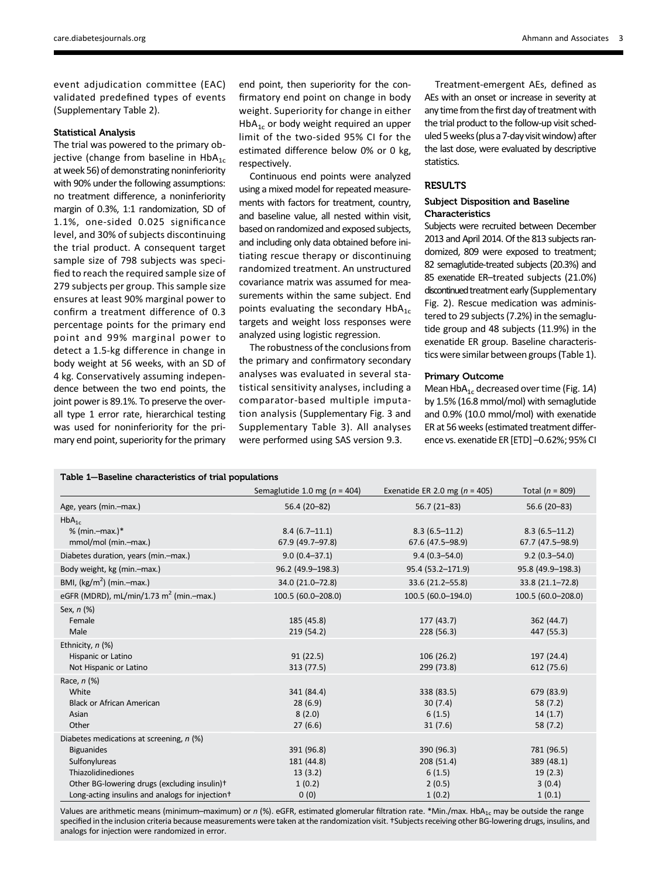event adjudication committee (EAC) validated predefined types of events ([Supplementary Table 2](http://care.diabetesjournals.org/lookup/suppl/doi:10.2337/dc17-0417/-/DC1)).

### Statistical Analysis

The trial was powered to the primary objective (change from baseline in  $HbA_{1c}$ at week 56) of demonstrating noninferiority with 90% under the following assumptions: no treatment difference, a noninferiority margin of 0.3%, 1:1 randomization, SD of 1.1%, one-sided 0.025 significance level, and 30% of subjects discontinuing the trial product. A consequent target sample size of 798 subjects was specified to reach the required sample size of 279 subjects per group. This sample size ensures at least 90% marginal power to confirm a treatment difference of 0.3 percentage points for the primary end point and 99% marginal power to detect a 1.5-kg difference in change in body weight at 56 weeks, with an SD of 4 kg. Conservatively assuming independence between the two end points, the joint power is 89.1%. To preserve the overall type 1 error rate, hierarchical testing was used for noninferiority for the primary end point, superiority for the primary

end point, then superiority for the confirmatory end point on change in body weight. Superiority for change in either  $HbA_{1c}$  or body weight required an upper limit of the two-sided 95% CI for the estimated difference below 0% or 0 kg, respectively.

Continuous end points were analyzed using a mixed model for repeated measurements with factors for treatment, country, and baseline value, all nested within visit, based on randomized and exposed subjects, and including only data obtained before initiating rescue therapy or discontinuing randomized treatment. An unstructured covariance matrix was assumed for measurements within the same subject. End points evaluating the secondary  $HbA_{1c}$ targets and weight loss responses were analyzed using logistic regression.

The robustness of the conclusions from the primary and confirmatory secondary analyses was evaluated in several statistical sensitivity analyses, including a comparator-based multiple imputation analysis ([Supplementary Fig. 3](http://care.diabetesjournals.org/lookup/suppl/doi:10.2337/dc17-0417/-/DC1) and [Supplementary Table 3](http://care.diabetesjournals.org/lookup/suppl/doi:10.2337/dc17-0417/-/DC1)). All analyses were performed using SAS version 9.3.

Treatment-emergent AEs, defined as AEs with an onset or increase in severity at any time from the first day of treatment with the trial product to the follow-up visit scheduled 5weeks (plus a 7-day visitwindow) after the last dose, were evaluated by descriptive statistics.

## **RESULTS**

### Subject Disposition and Baseline Characteristics

Subjects were recruited between December 2013 and April 2014. Of the 813 subjects randomized, 809 were exposed to treatment; 82 semaglutide-treated subjects (20.3%) and 85 exenatide ER–treated subjects (21.0%) discontinued treatment early [\(Supplementary](http://care.diabetesjournals.org/lookup/suppl/doi:10.2337/dc17-0417/-/DC1) [Fig. 2\)](http://care.diabetesjournals.org/lookup/suppl/doi:10.2337/dc17-0417/-/DC1). Rescue medication was administered to 29 subjects (7.2%) in the semaglutide group and 48 subjects (11.9%) in the exenatide ER group. Baseline characteristics were similar between groups (Table 1).

#### Primary Outcome

Mean  $HbA_{1c}$  decreased over time (Fig. 1A) by 1.5% (16.8 mmol/mol) with semaglutide and 0.9% (10.0 mmol/mol) with exenatide ER at 56 weeks (estimated treatment difference vs. exenatide ER [ETD] –0.62%; 95% CI

### Table 1—Baseline characteristics of trial populations

|                                                                                                                                                                                                                                 | Semaglutide 1.0 mg ( $n = 404$ )                      | Exenatide ER 2.0 mg ( $n = 405$ )                      | Total ( $n = 809$ )                                     |
|---------------------------------------------------------------------------------------------------------------------------------------------------------------------------------------------------------------------------------|-------------------------------------------------------|--------------------------------------------------------|---------------------------------------------------------|
| Age, years (min.-max.)                                                                                                                                                                                                          | 56.4 (20-82)                                          | $56.7(21 - 83)$                                        | $56.6(20-83)$                                           |
| $HbA_{1c}$<br>% (min.-max.)*                                                                                                                                                                                                    | $8.4(6.7-11.1)$                                       | $8.3(6.5 - 11.2)$                                      | $8.3(6.5-11.2)$                                         |
| mmol/mol (min.-max.)                                                                                                                                                                                                            | 67.9 (49.7-97.8)                                      | 67.6 (47.5-98.9)                                       | 67.7 (47.5-98.9)                                        |
| Diabetes duration, years (min.-max.)                                                                                                                                                                                            | $9.0(0.4 - 37.1)$                                     | $9.4(0.3 - 54.0)$                                      | $9.2(0.3 - 54.0)$                                       |
| Body weight, kg (min.-max.)                                                                                                                                                                                                     | 96.2 (49.9-198.3)                                     | 95.4 (53.2-171.9)                                      | 95.8 (49.9-198.3)                                       |
| BMI, $(kg/m^2)$ (min.-max.)                                                                                                                                                                                                     | 34.0 (21.0-72.8)                                      | 33.6 (21.2-55.8)                                       | 33.8 (21.1-72.8)                                        |
| eGFR (MDRD), mL/min/1.73 m <sup>2</sup> (min.-max.)                                                                                                                                                                             | 100.5 (60.0-208.0)                                    | 100.5 (60.0-194.0)                                     | 100.5 (60.0-208.0)                                      |
| Sex, n (%)<br>Female<br>Male                                                                                                                                                                                                    | 185 (45.8)<br>219 (54.2)                              | 177 (43.7)<br>228 (56.3)                               | 362 (44.7)<br>447 (55.3)                                |
| Ethnicity, n (%)<br>Hispanic or Latino<br>Not Hispanic or Latino                                                                                                                                                                | 91(22.5)<br>313 (77.5)                                | 106(26.2)<br>299 (73.8)                                | 197 (24.4)<br>612 (75.6)                                |
| Race, n (%)<br>White<br><b>Black or African American</b><br>Asian<br>Other                                                                                                                                                      | 341 (84.4)<br>28(6.9)<br>8(2.0)<br>27(6.6)            | 338 (83.5)<br>30(7.4)<br>6(1.5)<br>31(7.6)             | 679 (83.9)<br>58 (7.2)<br>14(1.7)<br>58 (7.2)           |
| Diabetes medications at screening, n (%)<br><b>Biguanides</b><br>Sulfonylureas<br>Thiazolidinediones<br>Other BG-lowering drugs (excluding insulin) <sup>+</sup><br>Long-acting insulins and analogs for injection <sup>+</sup> | 391 (96.8)<br>181 (44.8)<br>13(3.2)<br>1(0.2)<br>0(0) | 390 (96.3)<br>208 (51.4)<br>6(1.5)<br>2(0.5)<br>1(0.2) | 781 (96.5)<br>389 (48.1)<br>19(2.3)<br>3(0.4)<br>1(0.1) |

Values are arithmetic means (minimum–maximum) or  $n$  (%). eGFR, estimated glomerular filtration rate. \*Min./max. HbA<sub>1c</sub> may be outside the range specified in the inclusion criteria because measurements were taken at the randomization visit. †Subjects receiving other BG-lowering drugs, insulins, and analogs for injection were randomized in error.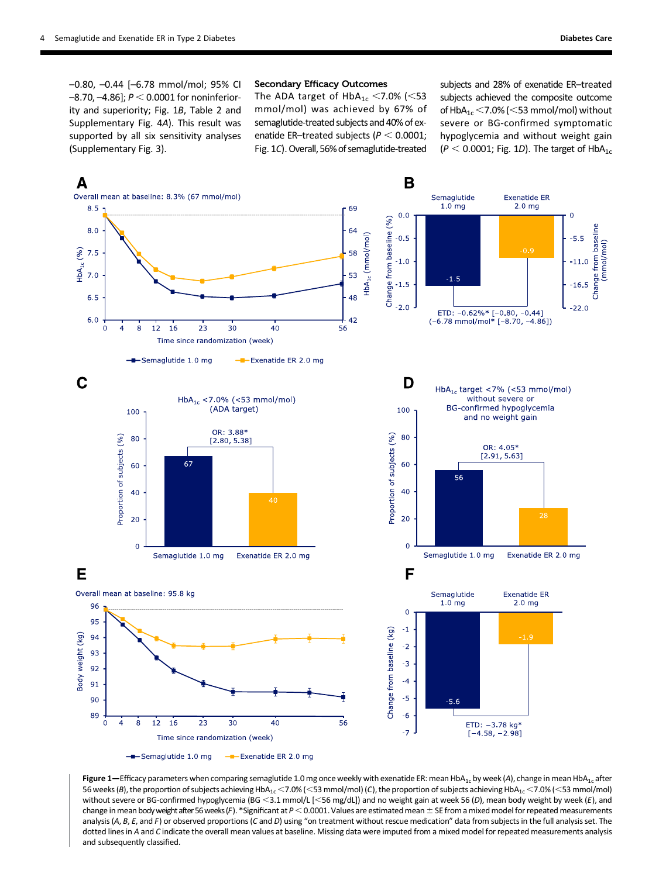–0.80, –0.44 [–6.78 mmol/mol; 95% CI  $-8.70, -4.86$ ];  $P < 0.0001$  for noninferiority and superiority; Fig. 1B, Table 2 and [Supplementary Fig. 4](http://care.diabetesjournals.org/lookup/suppl/doi:10.2337/dc17-0417/-/DC1)A). This result was supported by all six sensitivity analyses [\(Supplementary Fig. 3\)](http://care.diabetesjournals.org/lookup/suppl/doi:10.2337/dc17-0417/-/DC1).

### Secondary Efficacy Outcomes

The ADA target of  $HbA_{1c}$  <7.0% (<53 mmol/mol) was achieved by 67% of semaglutide-treated subjects and 40% of exenatide ER-treated subjects ( $P < 0.0001$ ; Fig. 1C). Overall, 56% of semaglutide-treated

subjects and 28% of exenatide ER–treated subjects achieved the composite outcome of  $HbA_{1c}$  < 7.0% (< 53 mmol/mol) without severe or BG-confirmed symptomatic hypoglycemia and without weight gain  $(P < 0.0001$ ; Fig. 1D). The target of HbA<sub>1c</sub>



Figure 1—Efficacy parameters when comparing semaglutide 1.0 mg once weekly with exenatide ER: mean HbA<sub>1c</sub> by week (A), change in mean HbA<sub>1c</sub> after 56 weeks (B), the proportion of subjects achieving HbA<sub>1c</sub> <7.0% (<53 mmol/mol) (C), the proportion of subjects achieving HbA<sub>1c</sub> <7.0% (<53 mmol/mol) without severe or BG-confirmed hypoglycemia (BG <3.1 mmol/L [<56 mg/dL]) and no weight gain at week 56 (D), mean body weight by week (E), and change in mean body weight after 56 weeks (F). \*Significant at  $P < 0.0001$ . Values are estimated mean  $\pm$  SE from a mixed model for repeated measurements analysis (A, B, E, and F) or observed proportions (C and D) using "on treatment without rescue medication" data from subjects in the full analysis set. The dotted lines in A and C indicate the overall mean values at baseline. Missing data were imputed from a mixed model for repeated measurements analysis and subsequently classified.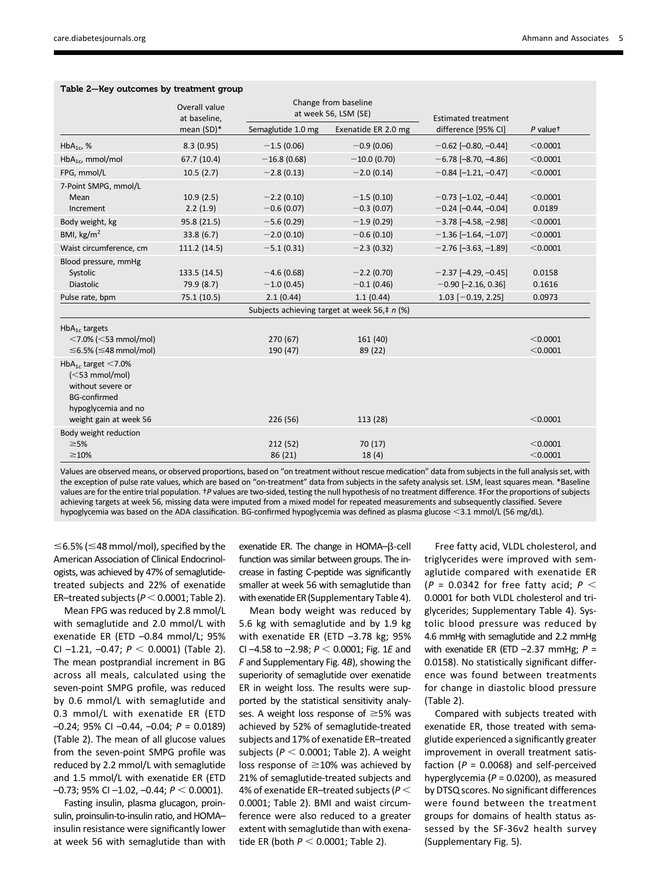|                                                                                                                                                     | $\sim$ - $\sim$ , $\sim$ , $\sim$ , $\sim$ , $\sim$ , $\sim$ , $\sim$ , $\sim$ , $\sim$ , $\sim$ , $\sim$ |                                              |                              |                                                  |                      |  |  |  |  |
|-----------------------------------------------------------------------------------------------------------------------------------------------------|-----------------------------------------------------------------------------------------------------------|----------------------------------------------|------------------------------|--------------------------------------------------|----------------------|--|--|--|--|
|                                                                                                                                                     | Overall value<br>at baseline,                                                                             | Change from baseline<br>at week 56, LSM (SE) |                              | <b>Estimated treatment</b>                       |                      |  |  |  |  |
|                                                                                                                                                     | mean (SD)*                                                                                                | Semaglutide 1.0 mg                           | Exenatide ER 2.0 mg          | difference [95% CI]                              | P valuet             |  |  |  |  |
| $HbA_{1c}$ , %                                                                                                                                      | 8.3(0.95)                                                                                                 | $-1.5(0.06)$                                 | $-0.9(0.06)$                 | $-0.62$ [-0.80, -0.44]                           | < 0.0001             |  |  |  |  |
| $HbA_{1c}$ , mmol/mol                                                                                                                               | 67.7 (10.4)                                                                                               | $-16.8(0.68)$                                | $-10.0(0.70)$                | $-6.78$ [-8.70, -4.86]                           | < 0.0001             |  |  |  |  |
| FPG, mmol/L                                                                                                                                         | 10.5(2.7)                                                                                                 | $-2.8(0.13)$                                 | $-2.0(0.14)$                 | $-0.84$ [-1.21, -0.47]                           | < 0.0001             |  |  |  |  |
| 7-Point SMPG, mmol/L<br>Mean<br>Increment                                                                                                           | 10.9(2.5)<br>2.2(1.9)                                                                                     | $-2.2(0.10)$<br>$-0.6(0.07)$                 | $-1.5(0.10)$<br>$-0.3(0.07)$ | $-0.73$ [-1.02, -0.44]<br>$-0.24$ [-0.44, -0.04] | < 0.0001<br>0.0189   |  |  |  |  |
| Body weight, kg                                                                                                                                     | 95.8 (21.5)                                                                                               | $-5.6(0.29)$                                 | $-1.9(0.29)$                 | $-3.78$ [ $-4.58$ , $-2.98$ ]                    | < 0.0001             |  |  |  |  |
| BMI, $\text{kg/m}^2$                                                                                                                                | 33.8(6.7)                                                                                                 | $-2.0(0.10)$                                 | $-0.6(0.10)$                 | $-1.36$ [-1.64, -1.07]                           | < 0.0001             |  |  |  |  |
| Waist circumference, cm                                                                                                                             | 111.2 (14.5)                                                                                              | $-5.1(0.31)$                                 | $-2.3(0.32)$                 | $-2.76$ [ $-3.63$ , $-1.89$ ]                    | < 0.0001             |  |  |  |  |
| Blood pressure, mmHg<br>Systolic<br>Diastolic                                                                                                       | 133.5 (14.5)<br>79.9 (8.7)                                                                                | $-4.6(0.68)$<br>$-1.0(0.45)$                 | $-2.2(0.70)$<br>$-0.1(0.46)$ | $-2.37$ [-4.29, -0.45]<br>$-0.90$ [-2.16, 0.36]  | 0.0158<br>0.1616     |  |  |  |  |
| Pulse rate, bpm                                                                                                                                     | 75.1 (10.5)                                                                                               | 2.1(0.44)                                    | 1.1(0.44)                    | $1.03$ [-0.19, 2.25]                             | 0.0973               |  |  |  |  |
| Subjects achieving target at week 56,# $n$ (%)                                                                                                      |                                                                                                           |                                              |                              |                                                  |                      |  |  |  |  |
| $HbA1c$ targets<br>$<$ 7.0% ( $<$ 53 mmol/mol)<br>$\leq$ 6.5% ( $\leq$ 48 mmol/mol)                                                                 |                                                                                                           | 270 (67)<br>190 (47)                         | 161 (40)<br>89 (22)          |                                                  | < 0.0001<br>< 0.0001 |  |  |  |  |
| HbA <sub>1c</sub> target $<$ 7.0%<br>$(<$ 53 mmol/mol)<br>without severe or<br><b>BG-confirmed</b><br>hypoglycemia and no<br>weight gain at week 56 |                                                                                                           | 226 (56)                                     | 113 (28)                     |                                                  | < 0.0001             |  |  |  |  |
| Body weight reduction<br>$\geq$ 5%<br>$\geq$ 10%                                                                                                    |                                                                                                           | 212 (52)<br>86 (21)                          | 70 (17)<br>18(4)             |                                                  | < 0.0001<br>< 0.0001 |  |  |  |  |

Table 2—Key outcomes by treatment group

Values are observed means, or observed proportions, based on "on treatment without rescue medication" data from subjects in the full analysis set, with the exception of pulse rate values, which are based on "on-treatment" data from subjects in the safety analysis set. LSM, least squares mean. \*Baseline values are for the entire trial population. <sup>†</sup>P values are two-sided, testing the null hypothesis of no treatment difference. ‡For the proportions of subjects achieving targets at week 56, missing data were imputed from a mixed model for repeated measurements and subsequently classified. Severe hypoglycemia was based on the ADA classification. BG-confirmed hypoglycemia was defined as plasma glucose <3.1 mmol/L (56 mg/dL).

 $\leq$ 6.5% ( $\leq$ 48 mmol/mol), specified by the American Association of Clinical Endocrinologists, was achieved by 47% of semaglutidetreated subjects and 22% of exenatide ER–treated subjects ( $P < 0.0001$ ; Table 2).

Mean FPG was reduced by 2.8 mmol/L with semaglutide and 2.0 mmol/L with exenatide ER (ETD –0.84 mmol/L; 95% CI -1.21, -0.47;  $P < 0.0001$ ) (Table 2). The mean postprandial increment in BG across all meals, calculated using the seven-point SMPG profile, was reduced by 0.6 mmol/L with semaglutide and 0.3 mmol/L with exenatide ER (ETD  $-0.24$ ; 95% CI $-0.44$ ,  $-0.04$ ;  $P = 0.0189$ ) (Table 2). The mean of all glucose values from the seven-point SMPG profile was reduced by 2.2 mmol/L with semaglutide and 1.5 mmol/L with exenatide ER (ETD  $-0.73$ ; 95% CI $-1.02$ ,  $-0.44$ ;  $P < 0.0001$ ).

Fasting insulin, plasma glucagon, proinsulin, proinsulin-to-insulin ratio, and HOMA– insulin resistance were significantly lower at week 56 with semaglutide than with

exenatide ER. The change in  $HOMA-B-cell$ function was similar between groups. The increase in fasting C-peptide was significantly smaller at week 56 with semaglutide than with exenatide ER [\(Supplementary Table 4\)](http://care.diabetesjournals.org/lookup/suppl/doi:10.2337/dc17-0417/-/DC1).

Mean body weight was reduced by 5.6 kg with semaglutide and by 1.9 kg with exenatide ER (ETD -3.78 kg; 95% CI -4.58 to -2.98;  $P < 0.0001$ ; Fig. 1E and F and [Supplementary Fig. 4](http://care.diabetesjournals.org/lookup/suppl/doi:10.2337/dc17-0417/-/DC1)B), showing the superiority of semaglutide over exenatide ER in weight loss. The results were supported by the statistical sensitivity analyses. A weight loss response of  $\geq$ 5% was achieved by 52% of semaglutide-treated subjects and 17% of exenatide ER–treated subjects ( $P < 0.0001$ ; Table 2). A weight loss response of  $\geq$ 10% was achieved by 21% of semaglutide-treated subjects and 4% of exenatide ER–treated subjects ( $P <$ 0.0001; Table 2). BMI and waist circumference were also reduced to a greater extent with semaglutide than with exenatide ER (both  $P < 0.0001$ ; Table 2).

Free fatty acid, VLDL cholesterol, and triglycerides were improved with semaglutide compared with exenatide ER (P = 0.0342 for free fatty acid;  $P <$ 0.0001 for both VLDL cholesterol and triglycerides; [Supplementary Table 4](http://care.diabetesjournals.org/lookup/suppl/doi:10.2337/dc17-0417/-/DC1)). Systolic blood pressure was reduced by 4.6 mmHg with semaglutide and 2.2 mmHg with exenatide ER (ETD  $-2.37$  mmHg;  $P =$ 0.0158). No statistically significant difference was found between treatments for change in diastolic blood pressure (Table 2).

Compared with subjects treated with exenatide ER, those treated with semaglutide experienced a significantly greater improvement in overall treatment satisfaction ( $P = 0.0068$ ) and self-perceived hyperglycemia ( $P = 0.0200$ ), as measured by DTSQ scores. No significant differences were found between the treatment groups for domains of health status assessed by the SF-36v2 health survey [\(Supplementary Fig. 5\)](http://care.diabetesjournals.org/lookup/suppl/doi:10.2337/dc17-0417/-/DC1).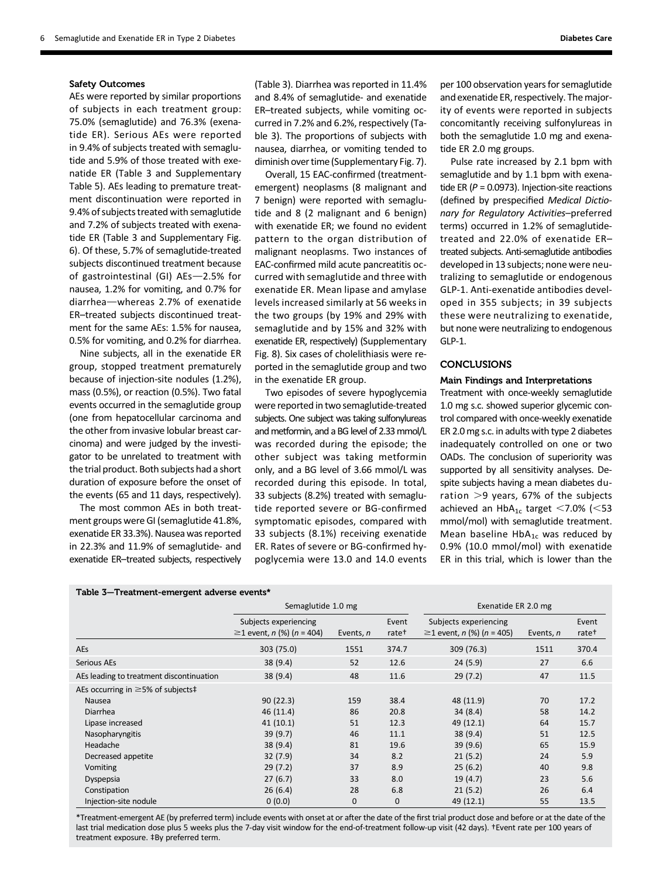### Safety Outcomes

AEs were reported by similar proportions of subjects in each treatment group: 75.0% (semaglutide) and 76.3% (exenatide ER). Serious AEs were reported in 9.4% of subjects treated with semaglutide and 5.9% of those treated with exenatide ER (Table 3 and [Supplementary](http://care.diabetesjournals.org/lookup/suppl/doi:10.2337/dc17-0417/-/DC1) [Table 5](http://care.diabetesjournals.org/lookup/suppl/doi:10.2337/dc17-0417/-/DC1)). AEs leading to premature treatment discontinuation were reported in 9.4% of subjects treated with semaglutide and 7.2% of subjects treated with exenatide ER (Table 3 and [Supplementary Fig.](http://care.diabetesjournals.org/lookup/suppl/doi:10.2337/dc17-0417/-/DC1) [6](http://care.diabetesjournals.org/lookup/suppl/doi:10.2337/dc17-0417/-/DC1)). Of these, 5.7% of semaglutide-treated subjects discontinued treatment because of gastrointestinal (GI)  $AEs$  -2.5% for nausea, 1.2% for vomiting, and 0.7% for diarrhea-whereas 2.7% of exenatide ER–treated subjects discontinued treatment for the same AEs: 1.5% for nausea, 0.5% for vomiting, and 0.2% for diarrhea.

Nine subjects, all in the exenatide ER group, stopped treatment prematurely because of injection-site nodules (1.2%), mass (0.5%), or reaction (0.5%). Two fatal events occurred in the semaglutide group (one from hepatocellular carcinoma and the other from invasive lobular breast carcinoma) and were judged by the investigator to be unrelated to treatment with the trial product. Both subjects had a short duration of exposure before the onset of the events (65 and 11 days, respectively).

The most common AEs in both treatment groups were GI (semaglutide 41.8%, exenatide ER 33.3%). Nausea was reported in 22.3% and 11.9% of semaglutide- and exenatide ER–treated subjects, respectively

(Table 3). Diarrhea was reported in 11.4% and 8.4% of semaglutide- and exenatide ER–treated subjects, while vomiting occurred in 7.2% and 6.2%, respectively (Table 3). The proportions of subjects with nausea, diarrhea, or vomiting tended to diminish over time [\(Supplementary Fig. 7](http://care.diabetesjournals.org/lookup/suppl/doi:10.2337/dc17-0417/-/DC1)).

Overall, 15 EAC-confirmed (treatmentemergent) neoplasms (8 malignant and 7 benign) were reported with semaglutide and 8 (2 malignant and 6 benign) with exenatide ER; we found no evident pattern to the organ distribution of malignant neoplasms. Two instances of EAC-confirmed mild acute pancreatitis occurred with semaglutide and three with exenatide ER. Mean lipase and amylase levels increased similarly at 56 weeks in the two groups (by 19% and 29% with semaglutide and by 15% and 32% with exenatide ER, respectively) [\(Supplementary](http://care.diabetesjournals.org/lookup/suppl/doi:10.2337/dc17-0417/-/DC1) [Fig. 8](http://care.diabetesjournals.org/lookup/suppl/doi:10.2337/dc17-0417/-/DC1)). Six cases of cholelithiasis were reported in the semaglutide group and two in the exenatide ER group.

Two episodes of severe hypoglycemia were reported in two semaglutide-treated subjects. One subject was taking sulfonylureas and metformin, and a BG level of 2.33 mmol/L was recorded during the episode; the other subject was taking metformin only, and a BG level of 3.66 mmol/L was recorded during this episode. In total, 33 subjects (8.2%) treated with semaglutide reported severe or BG-confirmed symptomatic episodes, compared with 33 subjects (8.1%) receiving exenatide ER. Rates of severe or BG-confirmed hypoglycemia were 13.0 and 14.0 events per 100 observation years for semaglutide and exenatide ER, respectively. The majority of events were reported in subjects concomitantly receiving sulfonylureas in both the semaglutide 1.0 mg and exenatide ER 2.0 mg groups.

Pulse rate increased by 2.1 bpm with semaglutide and by 1.1 bpm with exenatide ER ( $P = 0.0973$ ). Injection-site reactions (defined by prespecified Medical Dictionary for Regulatory Activities–preferred terms) occurred in 1.2% of semaglutidetreated and 22.0% of exenatide ER– treated subjects. Anti-semaglutide antibodies developed in 13 subjects; none were neutralizing to semaglutide or endogenous GLP-1. Anti-exenatide antibodies developed in 355 subjects; in 39 subjects these were neutralizing to exenatide, but none were neutralizing to endogenous GLP-1.

# **CONCLUSIONS**

### Main Findings and Interpretations

Treatment with once-weekly semaglutide 1.0 mg s.c. showed superior glycemic control compared with once-weekly exenatide ER 2.0 mg s.c. in adults with type 2 diabetes inadequately controlled on one or two OADs. The conclusion of superiority was supported by all sensitivity analyses. Despite subjects having a mean diabetes duration  $>9$  years, 67% of the subjects achieved an  $HbA_{1c}$  target <7.0% (<53 mmol/mol) with semaglutide treatment. Mean baseline  $HbA_{1c}$  was reduced by 0.9% (10.0 mmol/mol) with exenatide ER in this trial, which is lower than the

| Table 3—Treatment-emergent adverse events* |                                                                   |             |                            |                                                                   |           |                            |  |  |  |  |  |
|--------------------------------------------|-------------------------------------------------------------------|-------------|----------------------------|-------------------------------------------------------------------|-----------|----------------------------|--|--|--|--|--|
|                                            | Semaglutide 1.0 mg                                                |             |                            | Exenatide ER 2.0 mg                                               |           |                            |  |  |  |  |  |
|                                            | Subjects experiencing<br>≥1 event, <i>n</i> (%) ( <i>n</i> = 404) | Events, n   | Event<br>rate <sup>+</sup> | Subjects experiencing<br>≥1 event, <i>n</i> (%) ( <i>n</i> = 405) | Events, n | Event<br>rate <sup>+</sup> |  |  |  |  |  |
| <b>AEs</b>                                 | 303 (75.0)                                                        | 1551        | 374.7                      | 309 (76.3)                                                        | 1511      | 370.4                      |  |  |  |  |  |
| Serious AEs                                | 38 (9.4)                                                          | 52          | 12.6                       | 24(5.9)                                                           | 27        | 6.6                        |  |  |  |  |  |
| AEs leading to treatment discontinuation   | 38 (9.4)                                                          | 48          | 11.6                       | 29(7.2)                                                           | 47        | 11.5                       |  |  |  |  |  |
| AEs occurring in $\geq$ 5% of subjects‡    |                                                                   |             |                            |                                                                   |           |                            |  |  |  |  |  |
| Nausea                                     | 90(22.3)                                                          | 159         | 38.4                       | 48 (11.9)                                                         | 70        | 17.2                       |  |  |  |  |  |
| <b>Diarrhea</b>                            | 46(11.4)                                                          | 86          | 20.8                       | 34(8.4)                                                           | 58        | 14.2                       |  |  |  |  |  |
| Lipase increased                           | 41(10.1)                                                          | 51          | 12.3                       | 49 (12.1)                                                         | 64        | 15.7                       |  |  |  |  |  |
| Nasopharyngitis                            | 39 (9.7)                                                          | 46          | 11.1                       | 38(9.4)                                                           | 51        | 12.5                       |  |  |  |  |  |
| Headache                                   | 38 (9.4)                                                          | 81          | 19.6                       | 39(9.6)                                                           | 65        | 15.9                       |  |  |  |  |  |
| Decreased appetite                         | 32(7.9)                                                           | 34          | 8.2                        | 21(5.2)                                                           | 24        | 5.9                        |  |  |  |  |  |
| <b>Vomiting</b>                            | 29(7.2)                                                           | 37          | 8.9                        | 25(6.2)                                                           | 40        | 9.8                        |  |  |  |  |  |
| Dyspepsia                                  | 27(6.7)                                                           | 33          | 8.0                        | 19(4.7)                                                           | 23        | 5.6                        |  |  |  |  |  |
| Constipation                               | 26(6.4)                                                           | 28          | 6.8                        | 21(5.2)                                                           | 26        | 6.4                        |  |  |  |  |  |
| Injection-site nodule                      | 0(0.0)                                                            | $\mathbf 0$ | 0                          | 49 (12.1)                                                         | 55        | 13.5                       |  |  |  |  |  |

\*Treatment-emergent AE (by preferred term) include events with onset at or after the date of the first trial product dose and before or at the date of the last trial medication dose plus 5 weeks plus the 7-day visit window for the end-of-treatment follow-up visit (42 days). †Event rate per 100 years of treatment exposure. ‡By preferred term.

#### Table 3—Treatment-emergent adverse events\*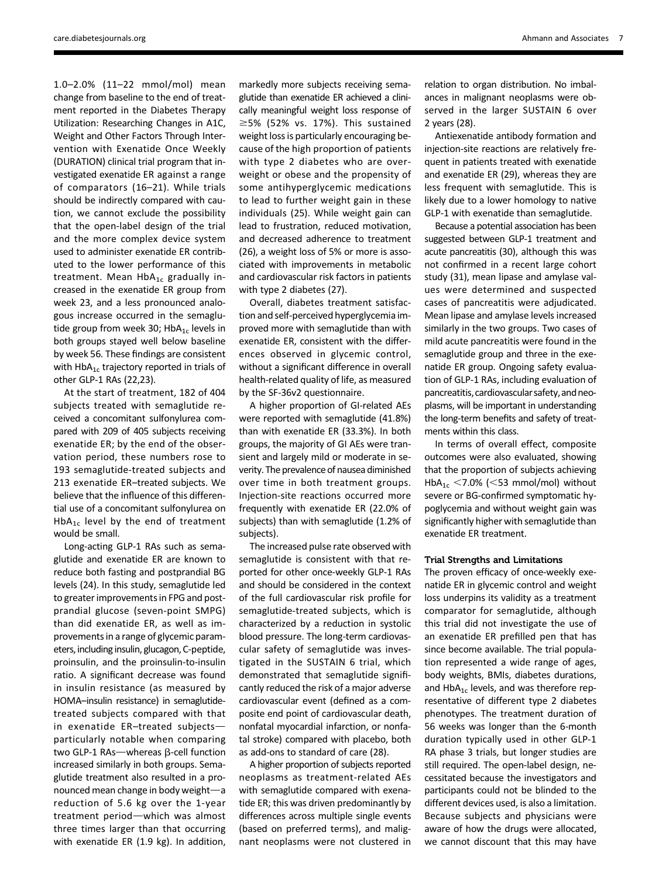1.0–2.0% (11–22 mmol/mol) mean change from baseline to the end of treatment reported in the Diabetes Therapy Utilization: Researching Changes in A1C, Weight and Other Factors Through Intervention with Exenatide Once Weekly (DURATION) clinical trial program that investigated exenatide ER against a range of comparators (16–21). While trials should be indirectly compared with caution, we cannot exclude the possibility that the open-label design of the trial and the more complex device system used to administer exenatide ER contributed to the lower performance of this treatment. Mean  $HbA_{1c}$  gradually increased in the exenatide ER group from week 23, and a less pronounced analogous increase occurred in the semaglutide group from week 30; Hb $A_{1c}$  levels in both groups stayed well below baseline by week 56. These findings are consistent with  $HbA_{1c}$  trajectory reported in trials of other GLP-1 RAs (22,23).

At the start of treatment, 182 of 404 subjects treated with semaglutide received a concomitant sulfonylurea compared with 209 of 405 subjects receiving exenatide ER; by the end of the observation period, these numbers rose to 193 semaglutide-treated subjects and 213 exenatide ER–treated subjects. We believe that the influence of this differential use of a concomitant sulfonylurea on  $HbA_{1c}$  level by the end of treatment would be small.

Long-acting GLP-1 RAs such as semaglutide and exenatide ER are known to reduce both fasting and postprandial BG levels (24). In this study, semaglutide led to greater improvements in FPG and postprandial glucose (seven-point SMPG) than did exenatide ER, as well as improvements in a range of glycemic parameters, including insulin, glucagon, C-peptide, proinsulin, and the proinsulin-to-insulin ratio. A significant decrease was found in insulin resistance (as measured by HOMA–insulin resistance) in semaglutidetreated subjects compared with that in exenatide  $ER$ -treated subjectsparticularly notable when comparing two GLP-1 RAs-whereas  $\beta$ -cell function increased similarly in both groups. Semaglutide treatment also resulted in a pronounced mean change in body weight-a reduction of 5.6 kg over the 1-year treatment period-which was almost three times larger than that occurring with exenatide ER (1.9 kg). In addition,

markedly more subjects receiving semaglutide than exenatide ER achieved a clinically meaningful weight loss response of  $\geq$ 5% (52% vs. 17%). This sustained weight loss is particularly encouraging because of the high proportion of patients with type 2 diabetes who are overweight or obese and the propensity of some antihyperglycemic medications to lead to further weight gain in these individuals (25). While weight gain can lead to frustration, reduced motivation, and decreased adherence to treatment (26), a weight loss of 5% or more is associated with improvements in metabolic and cardiovascular risk factors in patients with type 2 diabetes (27).

Overall, diabetes treatment satisfaction and self-perceived hyperglycemia improved more with semaglutide than with exenatide ER, consistent with the differences observed in glycemic control, without a significant difference in overall health-related quality of life, as measured by the SF-36v2 questionnaire.

A higher proportion of GI-related AEs were reported with semaglutide (41.8%) than with exenatide ER (33.3%). In both groups, the majority of GI AEs were transient and largely mild or moderate in severity. The prevalence of nausea diminished over time in both treatment groups. Injection-site reactions occurred more frequently with exenatide ER (22.0% of subjects) than with semaglutide (1.2% of subjects).

The increased pulse rate observed with semaglutide is consistent with that reported for other once-weekly GLP-1 RAs and should be considered in the context of the full cardiovascular risk profile for semaglutide-treated subjects, which is characterized by a reduction in systolic blood pressure. The long-term cardiovascular safety of semaglutide was investigated in the SUSTAIN 6 trial, which demonstrated that semaglutide significantly reduced the risk of a major adverse cardiovascular event (defined as a composite end point of cardiovascular death, nonfatal myocardial infarction, or nonfatal stroke) compared with placebo, both as add-ons to standard of care (28).

A higher proportion of subjects reported neoplasms as treatment-related AEs with semaglutide compared with exenatide ER; this was driven predominantly by differences across multiple single events (based on preferred terms), and malignant neoplasms were not clustered in

relation to organ distribution. No imbalances in malignant neoplasms were observed in the larger SUSTAIN 6 over 2 years (28).

Antiexenatide antibody formation and injection-site reactions are relatively frequent in patients treated with exenatide and exenatide ER (29), whereas they are less frequent with semaglutide. This is likely due to a lower homology to native GLP-1 with exenatide than semaglutide.

Because a potential association has been suggested between GLP-1 treatment and acute pancreatitis (30), although this was not confirmed in a recent large cohort study (31), mean lipase and amylase values were determined and suspected cases of pancreatitis were adjudicated. Mean lipase and amylase levels increased similarly in the two groups. Two cases of mild acute pancreatitis were found in the semaglutide group and three in the exenatide ER group. Ongoing safety evaluation of GLP-1 RAs, including evaluation of pancreatitis, cardiovascular safety, and neoplasms, will be important in understanding the long-term benefits and safety of treatments within this class.

In terms of overall effect, composite outcomes were also evaluated, showing that the proportion of subjects achieving HbA<sub>1c</sub> <7.0% (<53 mmol/mol) without severe or BG-confirmed symptomatic hypoglycemia and without weight gain was significantly higher with semaglutide than exenatide ER treatment.

### Trial Strengths and Limitations

The proven efficacy of once-weekly exenatide ER in glycemic control and weight loss underpins its validity as a treatment comparator for semaglutide, although this trial did not investigate the use of an exenatide ER prefilled pen that has since become available. The trial population represented a wide range of ages, body weights, BMIs, diabetes durations, and  $HbA_{1c}$  levels, and was therefore representative of different type 2 diabetes phenotypes. The treatment duration of 56 weeks was longer than the 6-month duration typically used in other GLP-1 RA phase 3 trials, but longer studies are still required. The open-label design, necessitated because the investigators and participants could not be blinded to the different devices used, is also a limitation. Because subjects and physicians were aware of how the drugs were allocated, we cannot discount that this may have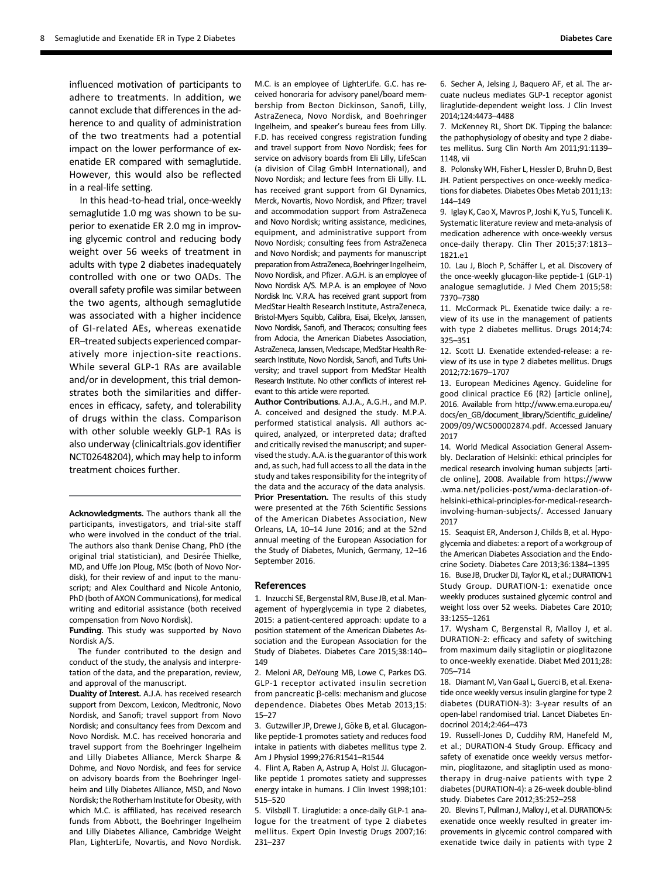influenced motivation of participants to adhere to treatments. In addition, we cannot exclude that differences in the adherence to and quality of administration of the two treatments had a potential impact on the lower performance of exenatide ER compared with semaglutide. However, this would also be reflected in a real-life setting.

In this head-to-head trial, once-weekly semaglutide 1.0 mg was shown to be superior to exenatide ER 2.0 mg in improving glycemic control and reducing body weight over 56 weeks of treatment in adults with type 2 diabetes inadequately controlled with one or two OADs. The overall safety profile was similar between the two agents, although semaglutide was associated with a higher incidence of GI-related AEs, whereas exenatide ER–treated subjects experienced comparatively more injection-site reactions. While several GLP-1 RAs are available and/or in development, this trial demonstrates both the similarities and differences in efficacy, safety, and tolerability of drugs within the class. Comparison with other soluble weekly GLP-1 RAs is also underway (clinicaltrials.gov identifier NCT02648204), which may help to inform treatment choices further.

Acknowledgments. The authors thank all the participants, investigators, and trial-site staff who were involved in the conduct of the trial. The authors also thank Denise Chang, PhD (the original trial statistician), and Desirée Thielke, MD, and Uffe Jon Ploug, MSc (both of Novo Nordisk), for their review of and input to the manuscript; and Alex Coulthard and Nicole Antonio, PhD (both of AXON Communications), for medical writing and editorial assistance (both received compensation from Novo Nordisk).

Funding. This study was supported by Novo Nordisk A/S.

The funder contributed to the design and conduct of the study, the analysis and interpretation of the data, and the preparation, review, and approval of the manuscript.

Duality of Interest. A.J.A. has received research support from Dexcom, Lexicon, Medtronic, Novo Nordisk, and Sanofi; travel support from Novo Nordisk; and consultancy fees from Dexcom and Novo Nordisk. M.C. has received honoraria and travel support from the Boehringer Ingelheim and Lilly Diabetes Alliance, Merck Sharpe & Dohme, and Novo Nordisk, and fees for service on advisory boards from the Boehringer Ingelheim and Lilly Diabetes Alliance, MSD, and Novo Nordisk; the Rotherham Institute for Obesity, with which M.C. is affiliated, has received research funds from Abbott, the Boehringer Ingelheim and Lilly Diabetes Alliance, Cambridge Weight Plan, LighterLife, Novartis, and Novo Nordisk.

M.C. is an employee of LighterLife. G.C. has received honoraria for advisory panel/board membership from Becton Dickinson, Sanofi, Lilly, AstraZeneca, Novo Nordisk, and Boehringer Ingelheim, and speaker's bureau fees from Lilly. F.D. has received congress registration funding and travel support from Novo Nordisk; fees for service on advisory boards from Eli Lilly, LifeScan (a division of Cilag GmbH International), and Novo Nordisk; and lecture fees from Eli Lilly. I.L. has received grant support from GI Dynamics, Merck, Novartis, Novo Nordisk, and Pfizer; travel and accommodation support from AstraZeneca and Novo Nordisk; writing assistance, medicines, equipment, and administrative support from Novo Nordisk; consulting fees from AstraZeneca and Novo Nordisk; and payments for manuscript preparation from AstraZeneca, Boehringer Ingelheim, Novo Nordisk, and Pfizer. A.G.H. is an employee of Novo Nordisk A/S. M.P.A. is an employee of Novo Nordisk Inc. V.R.A. has received grant support from MedStar Health Research Institute, AstraZeneca, Bristol-Myers Squibb, Calibra, Eisai, Elcelyx, Janssen, Novo Nordisk, Sanofi, and Theracos; consulting fees from Adocia, the American Diabetes Association, AstraZeneca, Janssen, Medscape, MedStar Health Research Institute, Novo Nordisk, Sanofi, and Tufts University; and travel support from MedStar Health Research Institute. No other conflicts of interest relevant to this article were reported.

Author Contributions. A.J.A., A.G.H., and M.P. A. conceived and designed the study. M.P.A. performed statistical analysis. All authors acquired, analyzed, or interpreted data; drafted and critically revised the manuscript; and supervised the study. A.A. is the guarantor of this work and, as such, had full access to all the data in the study and takes responsibility for the integrity of the data and the accuracy of the data analysis. Prior Presentation. The results of this study were presented at the 76th Scientific Sessions of the American Diabetes Association, New Orleans, LA, 10–14 June 2016; and at the 52nd annual meeting of the European Association for the Study of Diabetes, Munich, Germany, 12–16 September 2016.

#### References

1. Inzucchi SE, Bergenstal RM, Buse JB, et al.Management of hyperglycemia in type 2 diabetes, 2015: a patient-centered approach: update to a position statement of the American Diabetes Association and the European Association for the Study of Diabetes. Diabetes Care 2015;38:140– 149

2. Meloni AR, DeYoung MB, Lowe C, Parkes DG. GLP-1 receptor activated insulin secretion from pancreatic  $\beta$ -cells: mechanism and glucose dependence. Diabetes Obes Metab 2013;15: 15–27

3. Gutzwiller JP, Drewe J, Göke B, et al. Glucagonlike peptide-1 promotes satiety and reduces food intake in patients with diabetes mellitus type 2. Am J Physiol 1999;276:R1541–R1544

4. Flint A, Raben A, Astrup A, Holst JJ. Glucagonlike peptide 1 promotes satiety and suppresses energy intake in humans. J Clin Invest 1998;101: 515–520

5. Vilsbøll T. Liraglutide: a once-daily GLP-1 analogue for the treatment of type 2 diabetes mellitus. Expert Opin Investig Drugs 2007;16: 231–237

7. McKenney RL, Short DK. Tipping the balance: the pathophysiology of obesity and type 2 diabetes mellitus. Surg Clin North Am 2011;91:1139– 1148, vii

8. PolonskyWH, Fisher L, Hessler D, Bruhn D, Best JH. Patient perspectives on once-weekly medications for diabetes. Diabetes Obes Metab 2011;13: 144–149

9. Iglay K, Cao X, Mavros P, Joshi K, Yu S, Tunceli K. Systematic literature review and meta-analysis of medication adherence with once-weekly versus once-daily therapy. Clin Ther 2015;37:1813– 1821.e1

10. Lau J, Bloch P, Schäffer L, et al. Discovery of the once-weekly glucagon-like peptide-1 (GLP-1) analogue semaglutide. J Med Chem 2015;58: 7370–7380

11. McCormack PL. Exenatide twice daily: a review of its use in the management of patients with type 2 diabetes mellitus. Drugs 2014;74: 325–351

12. Scott LJ. Exenatide extended-release: a review of its use in type 2 diabetes mellitus. Drugs 2012;72:1679–1707

13. European Medicines Agency. Guideline for good clinical practice E6 (R2) [article online], 2016. Available from [http://www.ema.europa.eu/](http://www.ema.europa.eu/docs/en_GB/document_library/Scientific_guideline/2009/09/WC500002874.pdf) [docs/en\\_GB/document\\_library/Scienti](http://www.ema.europa.eu/docs/en_GB/document_library/Scientific_guideline/2009/09/WC500002874.pdf)fic\_guideline/ [2009/09/WC500002874.pdf.](http://www.ema.europa.eu/docs/en_GB/document_library/Scientific_guideline/2009/09/WC500002874.pdf) Accessed January 2017

14. World Medical Association General Assembly. Declaration of Helsinki: ethical principles for medical research involving human subjects [article online], 2008. Available from [https://www](https://www.wma.net/policies-post/wma-declaration-of-helsinki-ethical-principles-for-medical-research-involving-human-subjects/) [.wma.net/policies-post/wma-declaration-of](https://www.wma.net/policies-post/wma-declaration-of-helsinki-ethical-principles-for-medical-research-involving-human-subjects/)[helsinki-ethical-principles-for-medical-research](https://www.wma.net/policies-post/wma-declaration-of-helsinki-ethical-principles-for-medical-research-involving-human-subjects/)[involving-human-subjects/.](https://www.wma.net/policies-post/wma-declaration-of-helsinki-ethical-principles-for-medical-research-involving-human-subjects/) Accessed January 2017

15. Seaquist ER, Anderson J, Childs B, et al. Hypoglycemia and diabetes: a report of a workgroup of the American Diabetes Association and the Endocrine Society. Diabetes Care 2013;36:1384–1395 16. Buse JB, Drucker DJ, Taylor KL, et al.; DURATION-1 Study Group. DURATION-1: exenatide once weekly produces sustained glycemic control and weight loss over 52 weeks. Diabetes Care 2010; 33:1255–1261

17. Wysham C, Bergenstal R, Malloy J, et al. DURATION-2: efficacy and safety of switching from maximum daily sitagliptin or pioglitazone to once-weekly exenatide. Diabet Med 2011;28: 705–714

18. Diamant M, Van Gaal L, Guerci B, et al. Exenatide once weekly versus insulin glargine for type 2 diabetes (DURATION-3): 3-year results of an open-label randomised trial. Lancet Diabetes Endocrinol 2014;2:464–473

19. Russell-Jones D, Cuddihy RM, Hanefeld M, et al.; DURATION-4 Study Group. Efficacy and safety of exenatide once weekly versus metformin, pioglitazone, and sitagliptin used as monotherapy in drug-naive patients with type 2 diabetes (DURATION-4): a 26-week double-blind study. Diabetes Care 2012;35:252–258

20. Blevins T, Pullman J, Malloy J, et al. DURATION-5: exenatide once weekly resulted in greater improvements in glycemic control compared with exenatide twice daily in patients with type 2